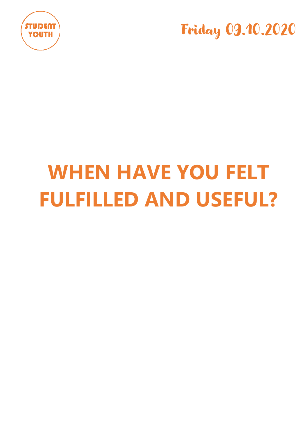



# **WHEN HAVE YOU FELT FULFILLED AND USEFUL?**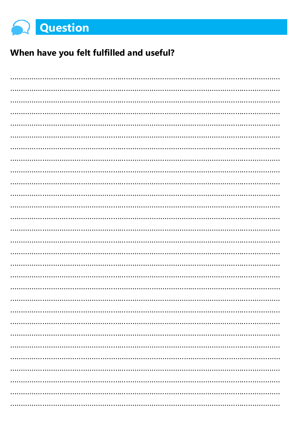

# When have you felt fulfilled and useful?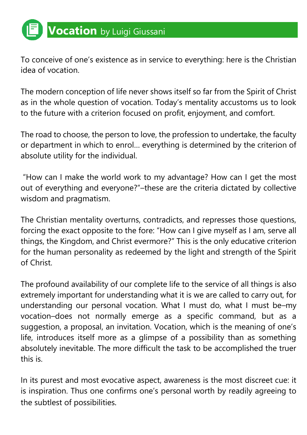To conceive of one's existence as in service to everything: here is the Christian idea of vocation.

The modern conception of life never shows itself so far from the Spirit of Christ as in the whole question of vocation. Today's mentality accustoms us to look to the future with a criterion focused on profit, enjoyment, and comfort.

The road to choose, the person to love, the profession to undertake, the faculty or department in which to enrol… everything is determined by the criterion of absolute utility for the individual.

"How can I make the world work to my advantage? How can I get the most out of everything and everyone?"–these are the criteria dictated by collective wisdom and pragmatism.

The Christian mentality overturns, contradicts, and represses those questions, forcing the exact opposite to the fore: "How can I give myself as I am, serve all things, the Kingdom, and Christ evermore?" This is the only educative criterion for the human personality as redeemed by the light and strength of the Spirit of Christ.

The profound availability of our complete life to the service of all things is also extremely important for understanding what it is we are called to carry out, for understanding our personal vocation. What I must do, what I must be–my vocation–does not normally emerge as a specific command, but as a suggestion, a proposal, an invitation. Vocation, which is the meaning of one's life, introduces itself more as a glimpse of a possibility than as something absolutely inevitable. The more difficult the task to be accomplished the truer this is.

In its purest and most evocative aspect, awareness is the most discreet cue: it is inspiration. Thus one confirms one's personal worth by readily agreeing to the subtlest of possibilities.